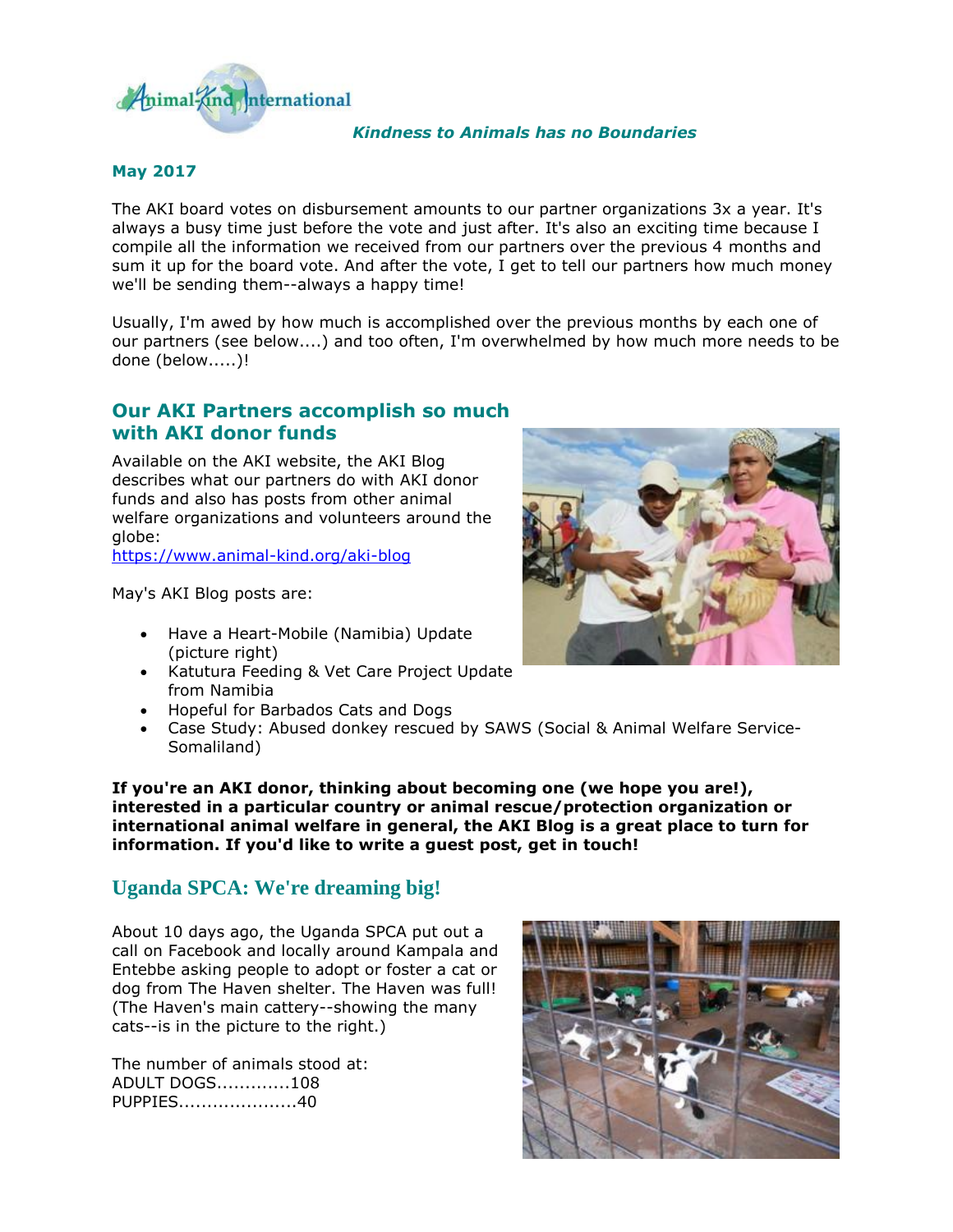

#### *Kindness to Animals has no Boundaries*

#### **May 2017**

The AKI board votes on disbursement amounts to our partner organizations 3x a year. It's always a busy time just before the vote and just after. It's also an exciting time because I compile all the information we received from our partners over the previous 4 months and sum it up for the board vote. And after the vote, I get to tell our partners how much money we'll be sending them--always a happy time!

Usually, I'm awed by how much is accomplished over the previous months by each one of our partners (see below....) and too often, I'm overwhelmed by how much more needs to be done (below.....)!

### **Our AKI Partners accomplish so much with AKI donor funds**

Available on the AKI website, the AKI Blog describes what our partners do with AKI donor funds and also has posts from other animal welfare organizations and volunteers around the globe:

[https://www.animal-kind.org/aki-blog](http://cts.vresp.com/c/?AnimalKindInternatio/1f8d5c86f2/f33df9aebc/e1d00afb38)

May's AKI Blog posts are:

- Have a Heart-Mobile (Namibia) Update (picture right)
- Katutura Feeding & Vet Care Project Update from Namibia
- Hopeful for Barbados Cats and Dogs
- Case Study: Abused donkey rescued by SAWS (Social & Animal Welfare Service-Somaliland)

**If you're an AKI donor, thinking about becoming one (we hope you are!), interested in a particular country or animal rescue/protection organization or international animal welfare in general, the AKI Blog is a great place to turn for information. If you'd like to write a guest post, get in touch!** 

# **Uganda SPCA: We're dreaming big!**

About 10 days ago, the Uganda SPCA put out a call on Facebook and locally around Kampala and Entebbe asking people to adopt or foster a cat or dog from The Haven shelter. The Haven was full! (The Haven's main cattery--showing the many cats--is in the picture to the right.)

The number of animals stood at: ADULT DOGS.............108 PUPPIES.....................40



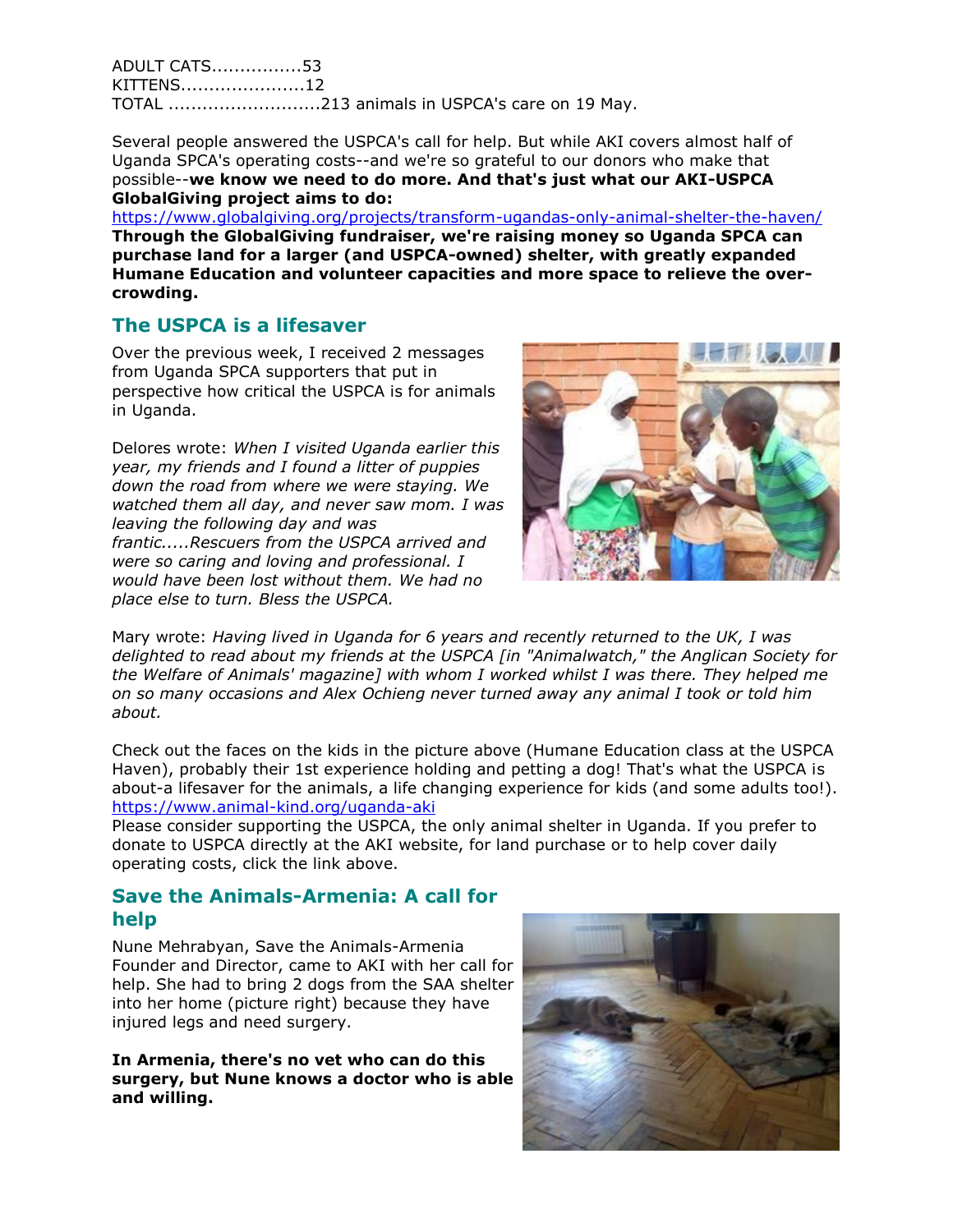ADULT CATS................53 KITTENS......................12 TOTAL ...........................213 animals in USPCA's care on 19 May.

Several people answered the USPCA's call for help. But while AKI covers almost half of Uganda SPCA's operating costs--and we're so grateful to our donors who make that possible--**we know we need to do more. And that's just what our AKI-USPCA GlobalGiving project aims to do:** 

[https://www.globalgiving.org/projects/transform-ugandas-only-animal-shelter-the-haven/](http://cts.vresp.com/c/?AnimalKindInternatio/1f8d5c86f2/f33df9aebc/496be06f66) **Through the GlobalGiving fundraiser, we're raising money so Uganda SPCA can purchase land for a larger (and USPCA-owned) shelter, with greatly expanded Humane Education and volunteer capacities and more space to relieve the overcrowding.** 

# **The USPCA is a lifesaver**

Over the previous week, I received 2 messages from Uganda SPCA supporters that put in perspective how critical the USPCA is for animals in Uganda.

Delores wrote: *When I visited Uganda earlier this year, my friends and I found a litter of puppies down the road from where we were staying. We watched them all day, and never saw mom. I was leaving the following day and was frantic.....Rescuers from the USPCA arrived and were so caring and loving and professional. I would have been lost without them. We had no place else to turn. Bless the USPCA.*



Mary wrote: *Having lived in Uganda for 6 years and recently returned to the UK, I was delighted to read about my friends at the USPCA [in "Animalwatch," the Anglican Society for the Welfare of Animals' magazine] with whom I worked whilst I was there. They helped me on so many occasions and Alex Ochieng never turned away any animal I took or told him about.*

Check out the faces on the kids in the picture above (Humane Education class at the USPCA Haven), probably their 1st experience holding and petting a dog! That's what the USPCA is about-a lifesaver for the animals, a life changing experience for kids (and some adults too!). [https://www.animal-kind.org/uganda-aki](http://cts.vresp.com/c/?AnimalKindInternatio/1f8d5c86f2/f33df9aebc/223e3d5b09)

Please consider supporting the USPCA, the only animal shelter in Uganda. If you prefer to donate to USPCA directly at the AKI website, for land purchase or to help cover daily operating costs, click the link above.

## **Save the Animals-Armenia: A call for help**

Nune Mehrabyan, Save the Animals-Armenia Founder and Director, came to AKI with her call for help. She had to bring 2 dogs from the SAA shelter into her home (picture right) because they have injured legs and need surgery.

**In Armenia, there's no vet who can do this surgery, but Nune knows a doctor who is able and willing.**

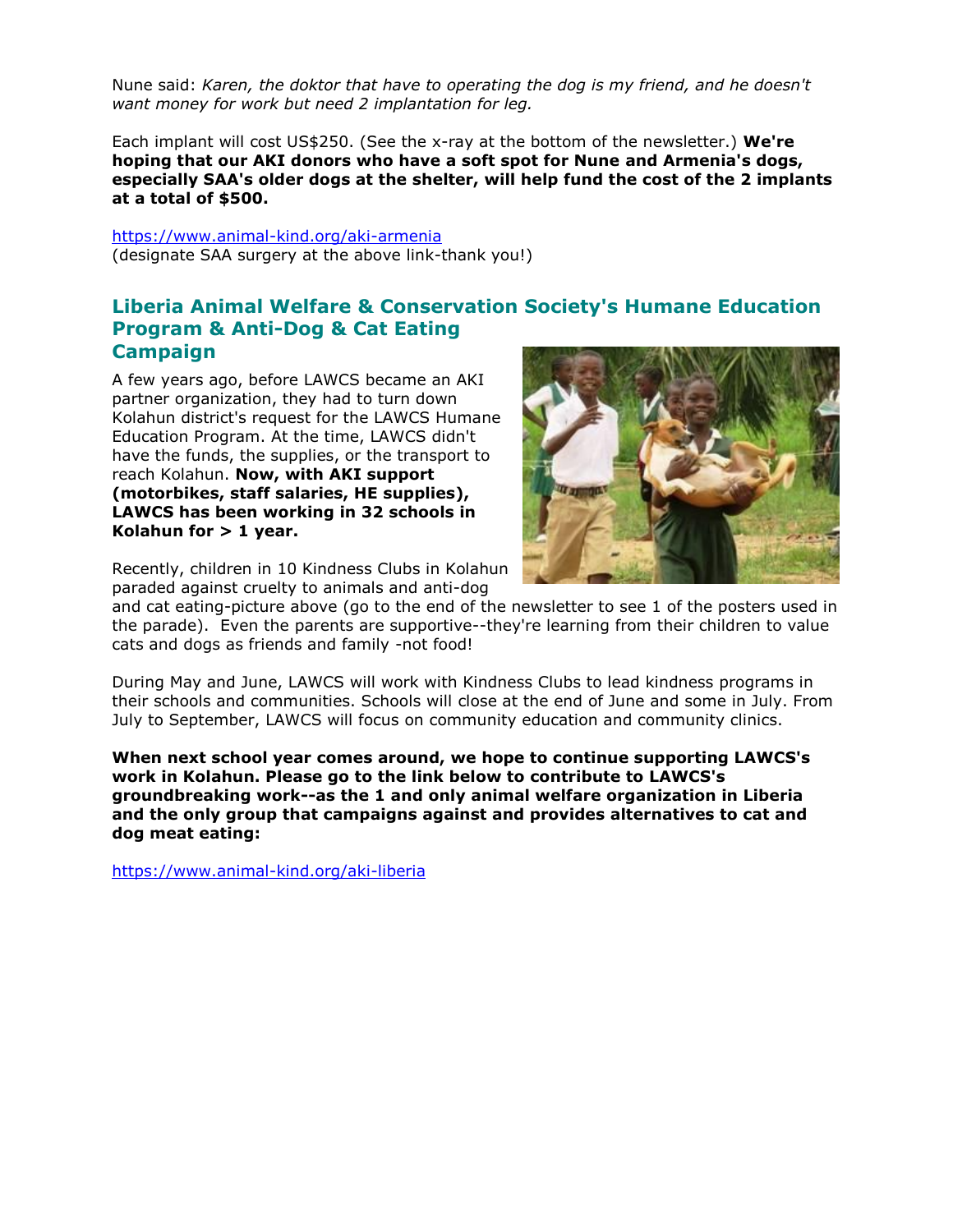Nune said: *Karen, the doktor that have to operating the dog is my friend, and he doesn't want money for work but need 2 implantation for leg.*

Each implant will cost US\$250. (See the x-ray at the bottom of the newsletter.) **We're hoping that our AKI donors who have a soft spot for Nune and Armenia's dogs, especially SAA's older dogs at the shelter, will help fund the cost of the 2 implants at a total of \$500.**

[https://www.animal-kind.org/aki-armenia](http://cts.vresp.com/c/?AnimalKindInternatio/1f8d5c86f2/f33df9aebc/3e5fb61483) (designate SAA surgery at the above link-thank you!)

### **Liberia Animal Welfare & Conservation Society's Humane Education Program & Anti-Dog & Cat Eating Campaign**

A few years ago, before LAWCS became an AKI partner organization, they had to turn down Kolahun district's request for the LAWCS Humane Education Program. At the time, LAWCS didn't have the funds, the supplies, or the transport to reach Kolahun. **Now, with AKI support (motorbikes, staff salaries, HE supplies), LAWCS has been working in 32 schools in Kolahun for > 1 year.**



Recently, children in 10 Kindness Clubs in Kolahun paraded against cruelty to animals and anti-dog

and cat eating-picture above (go to the end of the newsletter to see 1 of the posters used in the parade). Even the parents are supportive--they're learning from their children to value cats and dogs as friends and family -not food!

During May and June, LAWCS will work with Kindness Clubs to lead kindness programs in their schools and communities. Schools will close at the end of June and some in July. From July to September, LAWCS will focus on community education and community clinics.

**When next school year comes around, we hope to continue supporting LAWCS's work in Kolahun. Please go to the link below to contribute to LAWCS's groundbreaking work--as the 1 and only animal welfare organization in Liberia and the only group that campaigns against and provides alternatives to cat and dog meat eating:** 

[https://www.animal-kind.org/aki-liberia](http://cts.vresp.com/c/?AnimalKindInternatio/1f8d5c86f2/f33df9aebc/0961d93ade)